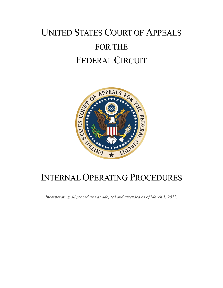# UNITED STATES COURT OF APPEALS FOR THE FEDERAL CIRCUIT



# INTERNAL OPERATING PROCEDURES

*Incorporating all procedures as adopted and amended as of March 1, 2022.*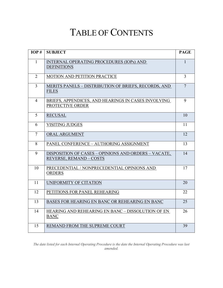# TABLE OF CONTENTS

<span id="page-1-0"></span>

| IOP#           | <b>SUBJECT</b>                                                                       | <b>PAGE</b>    |
|----------------|--------------------------------------------------------------------------------------|----------------|
| $\mathbf{1}$   | <b>INTERNAL OPERATING PROCEDURES (IOPs) AND</b><br><b>DEFINITIONS</b>                | $\mathbf{1}$   |
| $\overline{2}$ | MOTION AND PETITION PRACTICE                                                         | $\overline{3}$ |
| $\overline{3}$ | MERITS PANELS - DISTRIBUTION OF BRIEFS, RECORDS, AND<br><b>FILES</b>                 | $\overline{7}$ |
| $\overline{4}$ | BRIEFS, APPENDICES, AND HEARINGS IN CASES INVOLVING<br>PROTECTIVE ORDER              | 9              |
| 5              | <b>RECUSAL</b>                                                                       | 10             |
| 6              | <b>VISITING JUDGES</b>                                                               | 11             |
| $\overline{7}$ | ORAL ARGUMENT                                                                        | 12             |
| 8              | PANEL CONFERENCE - AUTHORING ASSIGNMENT                                              | 13             |
| 9              | DISPOSITION OF CASES - OPINIONS AND ORDERS - VACATE,<br><b>REVERSE, REMAND-COSTS</b> | 14             |
| 10             | PRECEDENTIAL / NONPRECEDENTIAL OPINIONS AND<br><b>ORDERS</b>                         | 17             |
| 11             | UNIFORMITY OF CITATION                                                               | 20             |
| 12             | PETITIONS FOR PANEL REHEARING                                                        | 22             |
| 13             | BASES FOR HEARING EN BANC OR REHEARING EN BANC                                       | 25             |
| 14             | HEARING AND REHEARING EN BANC - DISSOLUTION OF EN<br><b>BANC</b>                     | 26             |
| 15             | REMAND FROM THE SUPREME COURT                                                        | 39             |

*The date listed for each Internal Operating Procedure is the date the Internal Operating Procedure was last amended.*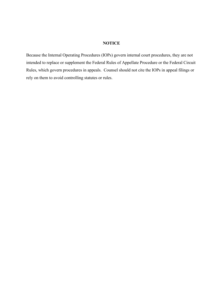#### **NOTICE**

Because the Internal Operating Procedures (IOPs) govern internal court procedures, they are not intended to replace or supplement the Federal Rules of Appellate Procedure or the Federal Circuit Rules, which govern procedures in appeals. Counsel should not cite the IOPs in appeal filings or rely on them to avoid controlling statutes or rules.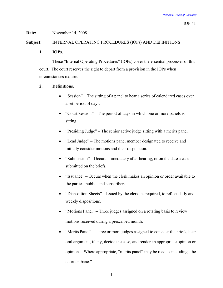# **Subject:** INTERNAL OPERATING PROCEDURES (IOPs) AND DEFINITIONS

## <span id="page-3-0"></span>**1. IOPs.**

These "Internal Operating Procedures" (IOPs) cover the essential processes of this court. The court reserves the right to depart from a provision in the IOPs when circumstances require.

# **2. Definitions.**

- "Session" The sitting of a panel to hear a series of calendared cases over a set period of days.
- "Court Session" The period of days in which one or more panels is sitting.
- "Presiding Judge" The senior active judge sitting with a merits panel.
- "Lead Judge" The motions panel member designated to receive and initially consider motions and their disposition.
- "Submission" Occurs immediately after hearing, or on the date a case is submitted on the briefs.
- "Issuance" Occurs when the clerk makes an opinion or order available to the parties, public, and subscribers.
- "Disposition Sheets" Issued by the clerk, as required, to reflect daily and weekly dispositions.
- "Motions Panel" Three judges assigned on a rotating basis to review motions received during a prescribed month.
- "Merits Panel" Three or more judges assigned to consider the briefs, hear oral argument, if any, decide the case, and render an appropriate opinion or opinions. Where appropriate, "merits panel" may be read as including "the court en banc."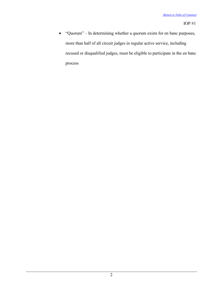• "Quorum" – In determining whether a quorum exists for en banc purposes, more than half of all circuit judges in regular active service, including recused or disqualified judges, must be eligible to participate in the en banc process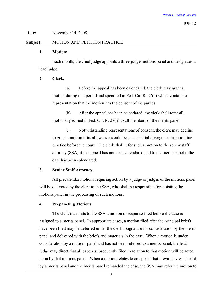### **Subject:** MOTION AND PETITION PRACTICE

#### <span id="page-5-0"></span>**1. Motions.**

Each month, the chief judge appoints a three-judge motions panel and designates a lead judge.

## **2. Clerk.**

(a) Before the appeal has been calendared, the clerk may grant a motion during that period and specified in Fed. Cir. R. 27(h) which contains a representation that the motion has the consent of the parties.

(b) After the appeal has been calendared, the clerk shall refer all motions specified in Fed. Cir. R. 27(h) to all members of the merits panel.

(c) Notwithstanding representations of consent, the clerk may decline to grant a motion if its allowance would be a substantial divergence from routine practice before the court. The clerk shall refer such a motion to the senior staff attorney (SSA) if the appeal has not been calendared and to the merits panel if the case has been calendared.

# **3. Senior Staff Attorney.**

All precalendar motions requiring action by a judge or judges of the motions panel will be delivered by the clerk to the SSA, who shall be responsible for assisting the motions panel in the processing of such motions.

# **4. Prepaneling Motions.**

The clerk transmits to the SSA a motion or response filed before the case is assigned to a merits panel. In appropriate cases, a motion filed after the principal briefs have been filed may be deferred under the clerk's signature for consideration by the merits panel and delivered with the briefs and materials in the case. When a motion is under consideration by a motions panel and has not been referred to a merits panel, the lead judge may direct that all papers subsequently filed in relation to that motion will be acted upon by that motions panel. When a motion relates to an appeal that previously was heard by a merits panel and the merits panel remanded the case, the SSA may refer the motion to

3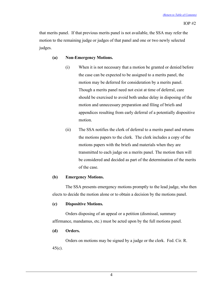that merits panel. If that previous merits panel is not available, the SSA may refer the motion to the remaining judge or judges of that panel and one or two newly selected judges.

# **(a) Non-Emergency Motions.**

- (i) When it is not necessary that a motion be granted or denied before the case can be expected to be assigned to a merits panel, the motion may be deferred for consideration by a merits panel. Though a merits panel need not exist at time of deferral, care should be exercised to avoid both undue delay in disposing of the motion and unnecessary preparation and filing of briefs and appendices resulting from early deferral of a potentially dispositive motion.
- (ii) The SSA notifies the clerk of deferral to a merits panel and returns the motions papers to the clerk. The clerk includes a copy of the motions papers with the briefs and materials when they are transmitted to each judge on a merits panel. The motion then will be considered and decided as part of the determination of the merits of the case.

# **(b) Emergency Motions.**

The SSA presents emergency motions promptly to the lead judge, who then elects to decide the motion alone or to obtain a decision by the motions panel.

# **(c) Dispositive Motions.**

Orders disposing of an appeal or a petition (dismissal, summary affirmance, mandamus, etc.) must be acted upon by the full motions panel.

# **(d) Orders.**

Orders on motions may be signed by a judge or the clerk. Fed. Cir. R. 45(c).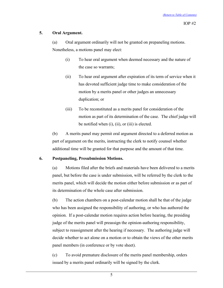## **5. Oral Argument.**

(a) Oral argument ordinarily will not be granted on prepaneling motions. Nonetheless, a motions panel may elect:

- (i) To hear oral argument when deemed necessary and the nature of the case so warrants;
- (ii) To hear oral argument after expiration of its term of service when it has devoted sufficient judge time to make consideration of the motion by a merits panel or other judges an unnecessary duplication; or
- (iii) To be reconstituted as a merits panel for consideration of the motion as part of its determination of the case. The chief judge will be notified when (i), (ii), or (iii) is elected.

(b) A merits panel may permit oral argument directed to a deferred motion as part of argument on the merits, instructing the clerk to notify counsel whether additional time will be granted for that purpose and the amount of that time.

# **6. Postpaneling, Presubmission Motions.**

(a) Motions filed after the briefs and materials have been delivered to a merits panel, but before the case is under submission, will be referred by the clerk to the merits panel, which will decide the motion either before submission or as part of its determination of the whole case after submission.

(b) The action chambers on a post-calendar motion shall be that of the judge who has been assigned the responsibility of authoring, or who has authored the opinion. If a post-calendar motion requires action before hearing, the presiding judge of the merits panel will preassign the opinion-authoring responsibility, subject to reassignment after the hearing if necessary. The authoring judge will decide whether to act alone on a motion or to obtain the views of the other merits panel members (in conference or by vote sheet).

(c) To avoid premature disclosure of the merits panel membership, orders issued by a merits panel ordinarily will be signed by the clerk.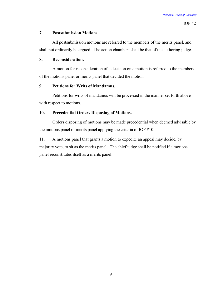# **7. Postsubmission Motions.**

All postsubmission motions are referred to the members of the merits panel, and shall not ordinarily be argued. The action chambers shall be that of the authoring judge.

# **8. Reconsideration.**

A motion for reconsideration of a decision on a motion is referred to the members of the motions panel or merits panel that decided the motion.

# **9. Petitions for Writs of Mandamus.**

Petitions for writs of mandamus will be processed in the manner set forth above with respect to motions.

# **10. Precedential Orders Disposing of Motions.**

Orders disposing of motions may be made precedential when deemed advisable by the motions panel or merits panel applying the criteria of IOP #10.

11. A motions panel that grants a motion to expedite an appeal may decide, by majority vote, to sit as the merits panel. The chief judge shall be notified if a motions panel reconstitutes itself as a merits panel.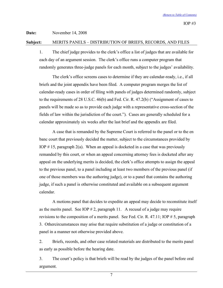#### **Subject:** MERITS PANELS – DISTRIBUTION OF BRIEFS, RECORDS, AND FILES

<span id="page-9-0"></span>1. The chief judge provides to the clerk's office a list of judges that are available for each day of an argument session. The clerk's office runs a computer program that randomly generates three-judge panels for each month, subject to the judges' availability.

The clerk's office screens cases to determine if they are calendar-ready, i.e., if all briefs and the joint appendix have been filed. A computer program merges the list of calendar-ready cases in order of filing with panels of judges determined randomly, subject to the requirements of 28 U.S.C. 46(b) and Fed. Cir. R. 47.2(b) ("Assignment of cases to panels will be made so as to provide each judge with a representative cross-section of the fields of law within the jurisdiction of the court."). Cases are generally scheduled for a calendar approximately six weeks after the last brief and the appendix are filed.

A case that is remanded by the Supreme Court is referred to the panel or to the en banc court that previously decided the matter, subject to the circumstances provided by IOP  $# 15$ , paragraph  $2(a)$ . When an appeal is docketed in a case that was previously remanded by this court, or when an appeal concerning attorney fees is docketed after any appeal on the underlying merits is decided, the clerk's office attempts to assign the appeal to the previous panel, to a panel including at least two members of the previous panel (if one of those members was the authoring judge), or to a panel that contains the authoring judge, if such a panel is otherwise constituted and available on a subsequent argument calendar.

A motions panel that decides to expedite an appeal may decide to reconstitute itself as the merits panel. See IOP  $# 2$ , paragraph 11. A recusal of a judge may require revisions to the composition of a merits panel. See Fed. Cir. R. 47.11; IOP # 5, paragraph 3. Othercircumstances may arise that require substitution of a judge or constitution of a panel in a manner not otherwise provided above.

2. Briefs, records, and other case related materials are distributed to the merits panel as early as possible before the hearing date.

3. The court's policy is that briefs will be read by the judges of the panel before oral argument.

7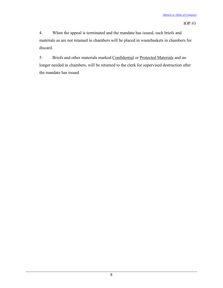4. When the appeal is terminated and the mandate has issued, such briefs and materials as are not retained in chambers will be placed in wastebaskets in chambers for discard.

5. Briefs and other materials marked **Confidential** or **Protected Materials** and no longer needed in chambers, will be returned to the clerk for supervised destruction after the mandate has issued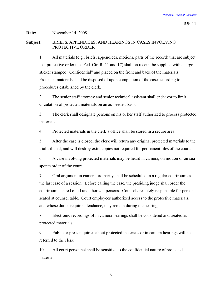# **Date:** November 14, 2008 **Subject:** BRIEFS, APPENDICES, AND HEARINGS IN CASES INVOLVING PROTECTIVE ORDER

<span id="page-11-0"></span>1. All materials (e.g., briefs, appendices, motions, parts of the record) that are subject to a protective order (see Fed. Cir. R. 11 and 17) shall on receipt be supplied with a large sticker stamped "Confidential" and placed on the front and back of the materials. Protected materials shall be disposed of upon completion of the case according to procedures established by the clerk.

2. The senior staff attorney and senior technical assistant shall endeavor to limit circulation of protected materials on an as-needed basis.

3. The clerk shall designate persons on his or her staff authorized to process protected materials.

4. Protected materials in the clerk's office shall be stored in a secure area.

5. After the case is closed, the clerk will return any original protected materials to the trial tribunal, and will destroy extra copies not required for permanent files of the court.

6. A case involving protected materials may be heard in camera, on motion or on sua sponte order of the court.

7. Oral argument in camera ordinarily shall be scheduled in a regular courtroom as the last case of a session. Before calling the case, the presiding judge shall order the courtroom cleared of all unauthorized persons. Counsel are solely responsible for persons seated at counsel table. Court employees authorized access to the protective materials, and whose duties require attendance, may remain during the hearing.

8. Electronic recordings of in camera hearings shall be considered and treated as protected materials.

9. Public or press inquiries about protected materials or in camera hearings will be referred to the clerk.

10. All court personnel shall be sensitive to the confidential nature of protected material.

9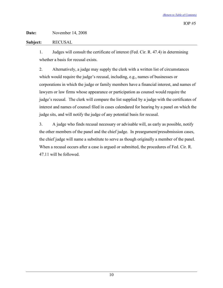# **Subject:** RECUSAL

<span id="page-12-0"></span>1. Judges will consult the certificate of interest (Fed. Cir. R. 47.4) in determining whether a basis for recusal exists.

2. Alternatively, a judge may supply the clerk with a written list of circumstances which would require the judge's recusal, including, e.g., names of businesses or corporations in which the judge or family members have a financial interest, and names of lawyers or law firms whose appearance or participation as counsel would require the judge's recusal. The clerk will compare the list supplied by a judge with the certificates of interest and names of counsel filed in cases calendared for hearing by a panel on which the judge sits, and will notify the judge of any potential basis for recusal.

3. A judge who finds recusal necessary or advisable will, as early as possible, notify the other members of the panel and the chief judge. In preargument/presubmission cases, the chief judge will name a substitute to serve as though originally a member of the panel. When a recusal occurs after a case is argued or submitted, the procedures of Fed. Cir. R. 47.11 will be followed.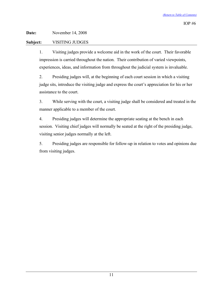# **Subject:** VISITING JUDGES

<span id="page-13-0"></span>1. Visiting judges provide a welcome aid in the work of the court. Their favorable impression is carried throughout the nation. Their contribution of varied viewpoints, experiences, ideas, and information from throughout the judicial system is invaluable.

2. Presiding judges will, at the beginning of each court session in which a visiting judge sits, introduce the visiting judge and express the court's appreciation for his or her assistance to the court.

3. While serving with the court, a visiting judge shall be considered and treated in the manner applicable to a member of the court.

4. Presiding judges will determine the appropriate seating at the bench in each session. Visiting chief judges will normally be seated at the right of the presiding judge, visiting senior judges normally at the left.

5. Presiding judges are responsible for follow-up in relation to votes and opinions due from visiting judges.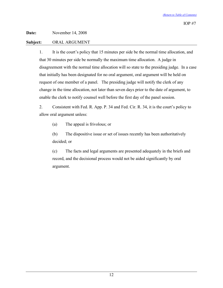# **Subject:** ORAL ARGUMENT

<span id="page-14-0"></span>1. It is the court's policy that 15 minutes per side be the normal time allocation, and that 30 minutes per side be normally the maximum time allocation. A judge in disagreement with the normal time allocation will so state to the presiding judge. In a case that initially has been designated for no oral argument, oral argument will be held on request of one member of a panel. The presiding judge will notify the clerk of any change in the time allocation, not later than seven days prior to the date of argument, to enable the clerk to notify counsel well before the first day of the panel session.

2. Consistent with Fed. R. App. P. 34 and Fed. Cir. R. 34, it is the court's policy to allow oral argument unless:

(a) The appeal is frivolous; or

(b) The dispositive issue or set of issues recently has been authoritatively decided; or

(c) The facts and legal arguments are presented adequately in the briefs and record, and the decisional process would not be aided significantly by oral argument.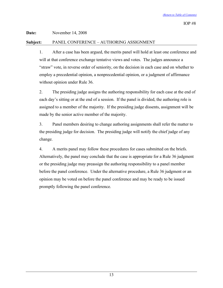# **Subject:** PANEL CONFERENCE – AUTHORING ASSIGNMENT

<span id="page-15-0"></span>1. After a case has been argued, the merits panel will hold at least one conference and will at that conference exchange tentative views and votes. The judges announce a "straw" vote, in reverse order of seniority, on the decision in each case and on whether to employ a precedential opinion, a nonprecedential opinion, or a judgment of affirmance without opinion under Rule 36.

2. The presiding judge assigns the authoring responsibility for each case at the end of each day's sitting or at the end of a session. If the panel is divided, the authoring role is assigned to a member of the majority. If the presiding judge dissents, assignment will be made by the senior active member of the majority.

3. Panel members desiring to change authoring assignments shall refer the matter to the presiding judge for decision. The presiding judge will notify the chief judge of any change.

4. A merits panel may follow these procedures for cases submitted on the briefs. Alternatively, the panel may conclude that the case is appropriate for a Rule 36 judgment or the presiding judge may preassign the authoring responsibility to a panel member before the panel conference. Under the alternative procedure, a Rule 36 judgment or an opinion may be voted on before the panel conference and may be ready to be issued promptly following the panel conference.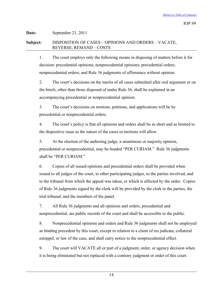# **Date:** September 21, 2011 **Subject:** DISPOSITION OF CASES – OPINIONS AND ORDERS – VACATE, REVERSE, REMAND – COSTS

<span id="page-16-0"></span>1. The court employs only the following means in disposing of matters before it for decision: precedential opinions; nonprecedential opinions; precedential orders; nonprecedential orders; and Rule 36 judgments of affirmance without opinion.

2. The court's decisions on the merits of all cases submitted after oral argument or on the briefs, other than those disposed of under Rule 36, shall be explained in an accompanying precedential or nonprecedential opinion.

3. The court's decisions on motions, petitions, and applications will be by precedential or nonprecedential orders.

4. The court's policy is that all opinions and orders shall be as short and as limited to the dispositive issue as the nature of the cases or motions will allow.

5. At the election of the authoring judge, a unanimous or majority opinion, precedential or nonprecedential, may be headed "PER CURIAM." Rule 36 judgments shall be "PER CURIAM."

6. Copies of all issued opinions and precedential orders shall be provided when issued to all judges of the court, to other participating judges, to the parties involved, and to the tribunal from which the appeal was taken, or which is affected by the order. Copies of Rule 36 judgments signed by the clerk will be provided by the clerk to the parties, the trial tribunal, and the members of the panel.

7. All Rule 36 judgments and all opinions and orders, precedential and nonprecedential, are public records of the court and shall be accessible to the public.

8. Nonprecedential opinions and orders and Rule 36 judgments shall not be employed as binding precedent by this court, except in relation to a claim of res judicata, collateral estoppel, or law of the case, and shall carry notice to the nonprecedential effect.

9. The court will VACATE all or part of a judgment, order, or agency decision when it is being eliminated but not replaced with a contrary judgment or order of this court.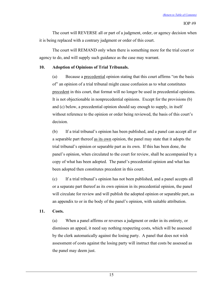The court will REVERSE all or part of a judgment, order, or agency decision when it is being replaced with a contrary judgment or order of this court.

The court will REMAND only when there is something more for the trial court or agency to do, and will supply such guidance as the case may warrant.

# **10. Adoption of Opinions of Trial Tribunals.**

(a) Because a precedential opinion stating that this court affirms "on the basis of" an opinion of a trial tribunal might cause confusion as to what constitutes precedent in this court, that format will no longer be used in precedential opinions. It is not objectionable in nonprecedential opinions. Except for the provisions (b) and (c) below, a precedential opinion should say enough to supply, in itself without reference to the opinion or order being reviewed, the basis of this court's decision.

(b) If a trial tribunal's opinion has been published, and a panel can accept all or a separable part thereof <u>as its own</u> opinion, the panel may state that it adopts the trial tribunal's opinion or separable part as its own. If this has been done, the panel's opinion, when circulated to the court for review, shall be accompanied by a copy of what has been adopted. The panel's precedential opinion and what has been adopted then constitutes precedent in this court.

(c) If a trial tribunal's opinion has not been published, and a panel accepts all or a separate part thereof as its own opinion in its precedential opinion, the panel will circulate for review and will publish the adopted opinion or separable part, as an appendix to or in the body of the panel's opinion, with suitable attribution.

# **11.** Costs.

(a) When a panel affirms or reverses a judgment or order in its entirety, or dismisses an appeal, it need say nothing respecting costs, which will be assessed by the clerk automatically against the losing party. A panel that does not wish assessment of costs against the losing party will instruct that costs be assessed as the panel may deem just.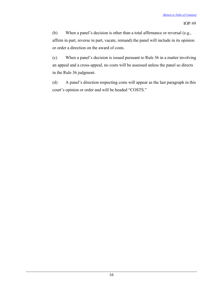(b) When a panel's decision is other than a total affirmance or reversal (e.g., affirm in part, reverse in part, vacate, remand) the panel will include in its opinion or order a direction on the award of costs.

(c) When a panel's decision is issued pursuant to Rule 36 in a matter involving an appeal and a cross-appeal, no costs will be assessed unless the panel so directs in the Rule 36 judgment.

(d) A panel's direction respecting costs will appear as the last paragraph in this court's opinion or order and will be headed "COSTS."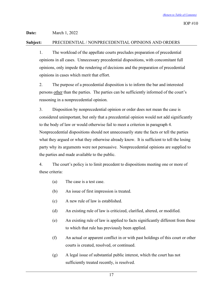**Date:** March 1, 2022

# **Subject:** PRECEDENTIAL / NONPRECEDENTIAL OPINIONS AND ORDERS

<span id="page-19-0"></span>1. The workload of the appellate courts precludes preparation of precedential opinions in all cases. Unnecessary precedential dispositions, with concomitant full opinions, only impede the rendering of decisions and the preparation of precedential opinions in cases which merit that effort.

2. The purpose of a precedential disposition is to inform the bar and interested persons other than the parties. The parties can be sufficiently informed of the court's reasoning in a nonprecedential opinion.

3. Disposition by nonprecedential opinion or order does not mean the case is considered unimportant, but only that a precedential opinion would not add significantly to the body of law or would otherwise fail to meet a criterion in paragraph 4. Nonprecedential dispositions should not unnecessarily state the facts or tell the parties what they argued or what they otherwise already know. It is sufficient to tell the losing party why its arguments were not persuasive. Nonprecedential opinions are supplied to the parties and made available to the public.

4. The court's policy is to limit precedent to dispositions meeting one or more of these criteria:

- (a) The case is a test case.
- (b) An issue of first impression is treated.
- (c) A new rule of law is established.
- (d) An existing rule of law is criticized, clarified, altered, or modified.
- (e) An existing rule of law is applied to facts significantly different from those to which that rule has previously been applied.
- (f) An actual or apparent conflict in or with past holdings of this court or other courts is created, resolved, or continued.
- (g) A legal issue of substantial public interest, which the court has not sufficiently treated recently, is resolved.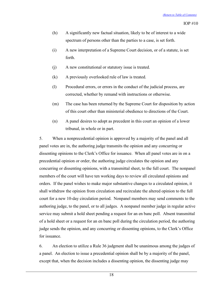- (h) A significantly new factual situation, likely to be of interest to a wide spectrum of persons other than the parties to a case, is set forth.
- (i) A new interpretation of a Supreme Court decision, or of a statute, is set forth.
- (j) A new constitutional or statutory issue is treated.
- (k) A previously overlooked rule of law is treated.
- (l) Procedural errors, or errors in the conduct of the judicial process, are corrected, whether by remand with instructions or otherwise.
- (m) The case has been returned by the Supreme Court for disposition by action of this court other than ministerial obedience to directions of the Court.
- (n) A panel desires to adopt as precedent in this court an opinion of a lower tribunal, in whole or in part.

5. When a nonprecedential opinion is approved by a majority of the panel and all panel votes are in, the authoring judge transmits the opinion and any concurring or dissenting opinions to the Clerk's Office for issuance. When all panel votes are in on a precedential opinion or order, the authoring judge circulates the opinion and any concurring or dissenting opinions, with a transmittal sheet, to the full court. The nonpanel members of the court will have ten working days to review all circulated opinions and orders. If the panel wishes to make major substantive changes to a circulated opinion, it shall withdraw the opinion from circulation and recirculate the altered opinion to the full court for a new 10-day circulation period. Nonpanel members may send comments to the authoring judge, to the panel, or to all judges. A nonpanel member judge in regular active service may submit a hold sheet pending a request for an en banc poll. Absent transmittal of a hold sheet or a request for an en banc poll during the circulation period, the authoring judge sends the opinion, and any concurring or dissenting opinions, to the Clerk's Office for issuance.

6. An election to utilize a Rule 36 judgment shall be unanimous among the judges of a panel. An election to issue a precedential opinion shall be by a majority of the panel, except that, when the decision includes a dissenting opinion, the dissenting judge may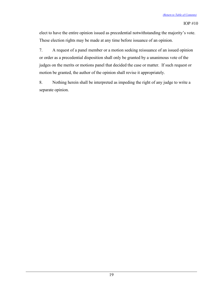elect to have the entire opinion issued as precedential notwithstanding the majority's vote. These election rights may be made at any time before issuance of an opinion.

7. A request of a panel member or a motion seeking reissuance of an issued opinion or order as a precedential disposition shall only be granted by a unanimous vote of the judges on the merits or motions panel that decided the case or matter. If such request or motion be granted, the author of the opinion shall revise it appropriately.

8. Nothing herein shall be interpreted as impeding the right of any judge to write a separate opinion.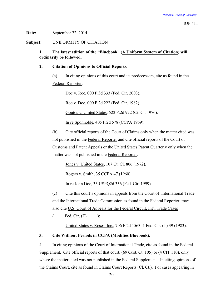**Date:** September 22, 2014

**Subject:** UNIFORMITY OF CITATION

<span id="page-22-0"></span>**1.** The latest edition of the "Bluebook" (A Uniform System of Citation) will **ordinarily be followed.**

# **2. Citation of Opinions to Official Reports.**

(a) In citing opinions of this court and its predecessors, cite as found in the  $Federal$  Reporter:

Doe v. Roe, 000 F.3d 333 (Fed. Cir. 2003).

Roe v. Doe, 000 F.2d 222 (Fed. Cir. 1982).

Goutos v. United States, 522 F.2d 922 (Ct. Cl. 1976).

In re Sponnoble, 405 F.2d 578 (CCPA 1969).

(b) Cite official reports of the Court of Claims only when the matter cited was not published in the Federal Reporter and cite official reports of the Court of Customs and Patent Appeals or the United States Patent Quarterly only when the matter was not published in the Federal Reporter:

Jones v. United States, 107 Ct. Cl. 806 (1972).

Rogers v. Smith, 35 CCPA 47 (1960).

In re John Doe, 33 USPQ2d 336 (Fed. Cir. 1999).

(c) Cite this court's opinions in appeals from the Court of International Trade and the International Trade Commission as found in the Federal Reporter; may also cite U.S. Court of Appeals for the Federal Circuit, Int'l Trade Cases

Fed. Cir.  $(T)$  ):

United States v. Roses, Inc., 706 F.2d 1563, 1 Fed. Cir. (T) 39 (1983).

# **3. Cite Without Periods in CCPA (Modifies Bluebook).**

4. In citing opinions of the Court of International Trade, cite as found in the Federal Supplement. Cite official reports of that court, (69 Cust. Ct. 105) or (4 CIT 110), only where the matter cited was not published in the **Federal Supplement**. In citing opinions of the Claims Court, cite as found in Claims Court Reports (Cl. Ct.). For cases appearing in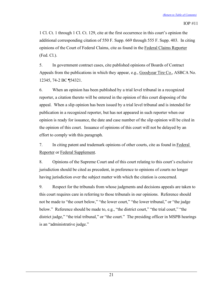1 Cl. Ct. 1 through 1 Cl. Ct. 129, cite at the first occurrence in this court's opinion the additional corresponding citation of 550 F. Supp. 669 through 555 F. Supp. 403. In citing opinions of the Court of Federal Claims, cite as found in the Federal Claims Reporter (Fed. Cl.).

5. In government contract cases, cite published opinions of Boards of Contract Appeals from the publications in which they appear, e.g., *Goodyear Tire Co.*, *ASBCA No.* 12345, 74-2 BC ¶54321.

6. When an opinion has been published by a trial level tribunal in a recognized reporter, a citation thereto will be entered in the opinion of this court disposing of the appeal. When a slip opinion has been issued by a trial level tribunal and is intended for publication in a recognized reporter, but has not appeared in such reporter when our opinion is ready for issuance, the date and case number of the slip opinion will be cited in the opinion of this court. Issuance of opinions of this court will not be delayed by an effort to comply with this paragraph.

7. In citing patent and trademark opinions of other courts, cite as found in **Federal** Reporter or **Federal Supplement**.

8. Opinions of the Supreme Court and of this court relating to this court's exclusive jurisdiction should be cited as precedent, in preference to opinions of courts no longer having jurisdiction over the subject matter with which the citation is concerned.

9. Respect for the tribunals from whose judgments and decisions appeals are taken to this court requires care in referring to those tribunals in our opinions. Reference should not be made to "the court below," "the lower court," "the lower tribunal," or "the judge below." Reference should be made to, e.g., "the district court," "the trial court," "the district judge," "the trial tribunal," or "the court." The presiding officer in MSPB hearings is an "administrative judge."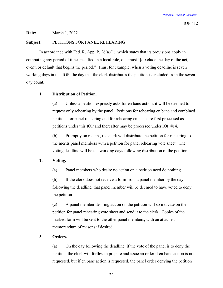**Date:** March 1, 2022

## <span id="page-24-0"></span>**Subject:** PETITIONS FOR PANEL REHEARING

In accordance with Fed. R. App. P.  $26(a)(1)$ , which states that its provisions apply in computing any period of time specified in a local rule, one must "[e]xclude the day of the act, event, or default that begins the period." Thus, for example, when a voting deadline is seven working days in this IOP, the day that the clerk distributes the petition is excluded from the sevenday count.

# **1. Distribution of Petition.**

(a) Unless a petition expressly asks for en banc action, it will be deemed to request only rehearing by the panel. Petitions for rehearing en banc and combined petitions for panel rehearing and for rehearing en banc are first processed as petitions under this IOP and thereafter may be processed under IOP #14.

(b) Promptly on receipt, the clerk will distribute the petition for rehearing to the merits panel members with a petition for panel rehearing vote sheet. The voting deadline will be ten working days following distribution of the petition.

# **2. Voting.**

(a) Panel members who desire no action on a petition need do nothing.

(b) If the clerk does not receive a form from a panel member by the day following the deadline, that panel member will be deemed to have voted to deny the petition.

(c) A panel member desiring action on the petition will so indicate on the petition for panel rehearing vote sheet and send it to the clerk. Copies of the marked form will be sent to the other panel members, with an attached memorandum of reasons if desired.

# **3. Orders.**

(a) On the day following the deadline, if the vote of the panel is to deny the petition, the clerk will forthwith prepare and issue an order if en banc action is not requested, but if en banc action is requested, the panel order denying the petition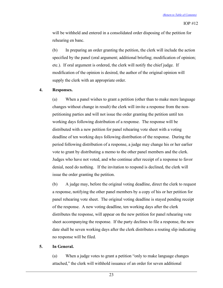will be withheld and entered in a consolidated order disposing of the petition for rehearing en banc.

(b) In preparing an order granting the petition, the clerk will include the action specified by the panel (oral argument; additional briefing; modification of opinion; etc.). If oral argument is ordered, the clerk will notify the chief judge. If modification of the opinion is desired, the author of the original opinion will supply the clerk with an appropriate order.

# **4. Responses.**

(a) When a panel wishes to grant a petition (other than to make mere language changes without change in result) the clerk will invite a response from the nonpetitioning parties and will not issue the order granting the petition until ten working days following distribution of a response. The response will be distributed with a new petition for panel rehearing vote sheet with a voting deadline of ten working days following distribution of the response. During the period following distribution of a response, a judge may change his or her earlier vote to grant by distributing a memo to the other panel members and the clerk. Judges who have not voted, and who continue after receipt of a response to favor denial, need do nothing. If the invitation to respond is declined, the clerk will issue the order granting the petition.

(b) A judge may, before the original voting deadline, direct the clerk to request a response, notifying the other panel members by a copy of his or her petition for panel rehearing vote sheet. The original voting deadline is stayed pending receipt of the response. A new voting deadline, ten working days after the clerk distributes the response, will appear on the new petition for panel rehearing vote sheet accompanying the response. If the party declines to file a response, the new date shall be seven working days after the clerk distributes a routing slip indicating no response will be filed.

#### **5. In General.**

(a) When a judge votes to grant a petition "only to make language changes attached," the clerk will withhold issuance of an order for seven additional

23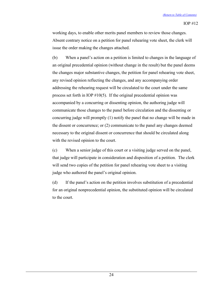working days, to enable other merits panel members to review those changes. Absent contrary notice on a petition for panel rehearing vote sheet, the clerk will issue the order making the changes attached.

(b) When a panel's action on a petition is limited to changes in the language of an original precedential opinion (without change in the result) but the panel deems the changes major substantive changes, the petition for panel rehearing vote sheet, any revised opinion reflecting the changes, and any accompanying order addressing the rehearing request will be circulated to the court under the same process set forth in IOP  $#10(5)$ . If the original precedential opinion was accompanied by a concurring or dissenting opinion, the authoring judge will communicate those changes to the panel before circulation and the dissenting or concurring judge will promptly (1) notify the panel that no change will be made in the dissent or concurrence; or (2) communicate to the panel any changes deemed necessary to the original dissent or concurrence that should be circulated along with the revised opinion to the court.

(c) When a senior judge of this court or a visiting judge served on the panel, that judge will participate in consideration and disposition of a petition. The clerk will send two copies of the petition for panel rehearing vote sheet to a visiting judge who authored the panel's original opinion.

(d) If the panel's action on the petition involves substitution of a precedential for an original nonprecedential opinion, the substituted opinion will be circulated to the court.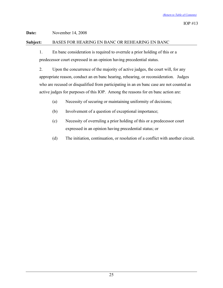# **Subject:** BASES FOR HEARING EN BANC OR REHEARING EN BANC

<span id="page-27-0"></span>1. En banc consideration is required to overrule a prior holding of this or a predecessor court expressed in an opinion having precedential status.

2. Upon the concurrence of the majority of active judges, the court will, for any appropriate reason, conduct an en banc hearing, rehearing, or reconsideration. Judges who are recused or disqualified from participating in an en banc case are not counted as active judges for purposes of this IOP. Among the reasons for en banc action are:

- (a) Necessity of securing or maintaining uniformity of decisions;
- (b) Involvement of a question of exceptional importance;
- (c) Necessity of overruling a prior holding of this or a predecessor court expressed in an opinion having precedential status; or
- (d) The initiation, continuation, or resolution of a conflict with another circuit.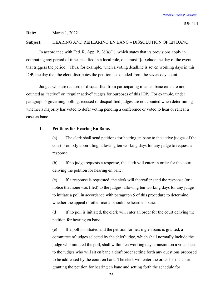#### **Date:** March 1, 2022

#### <span id="page-28-0"></span>**Subject:** HEARING AND REHEARING EN BANC – DISSOLUTION OF EN BANC

In accordance with Fed. R. App. P.  $26(a)(1)$ , which states that its provisions apply in computing any period of time specified in a local rule, one must "[e]xclude the day of the event, that triggers the period." Thus, for example, when a voting deadline is seven working days in this IOP, the day that the clerk distributes the petition is excluded from the seven-day count.

Judges who are recused or disqualified from participating in an en banc case are not counted as "active" or "regular active" judges for purposes of this IOP. For example, under paragraph 5 governing polling, recused or disqualified judges are not counted when determining whether a majority has voted to defer voting pending a conference or voted to hear or rehear a case en banc.

## **1. Petitions for Hearing En Banc.**

(a) The clerk shall send petitions for hearing en banc to the active judges of the court promptly upon filing, allowing ten working days for any judge to request a response.

(b) If no judge requests a response, the clerk will enter an order for the court denying the petition for hearing en banc.

(c) If a response is requested, the clerk will thereafter send the response (or a notice that none was filed) to the judges, allowing ten working days for any judge to initiate a poll in accordance with paragraph 5 of this procedure to determine whether the appeal or other matter should be heard en banc.

(d) If no poll is initiated, the clerk will enter an order for the court denying the petition for hearing en banc.

(e) If a poll is initiated and the petition for hearing en banc is granted, a committee of judges selected by the chief judge, which shall normally include the judge who initiated the poll, shall within ten working days transmit on a vote sheet to the judges who will sit en banc a draft order setting forth any questions proposed to be addressed by the court en banc. The clerk will enter the order for the court granting the petition for hearing en banc and setting forth the schedule for

26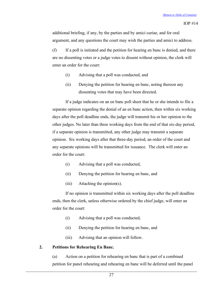additional briefing, if any, by the parties and by amici curiae, and for oral argument, and any questions the court may wish the parties and amici to address.

(f) If a poll is initiated and the petition for hearing en banc is denied, and there are no dissenting votes or a judge votes to dissent without opinion, the clerk will enter an order for the court:

- (i) Advising that a poll was conducted, and
- (ii) Denying the petition for hearing en banc, noting thereon any dissenting votes that may have been directed.

If a judge indicates on an en banc poll sheet that he or she intends to file a separate opinion regarding the denial of an en banc action, then within six working days after the poll deadline ends, the judge will transmit his or her opinion to the other judges. No later than three working days from the end of that six-day period, if a separate opinion is transmitted, any other judge may transmit a separate opinion. Six working days after that three-day period, an order of the court and any separate opinions will be transmitted for issuance. The clerk will enter an order for the court:

- (i) Advising that a poll was conducted,
- (ii) Denying the petition for hearing en banc, and
- (iii) Attaching the opinion(s).

If no opinion is transmitted within six working days after the poll deadline ends, then the clerk, unless otherwise ordered by the chief judge, will enter an order for the court:

- (i) Advising that a poll was conducted,
- (ii) Denying the petition for hearing en banc, and
- (iii) Advising that an opinion will follow.

# **2. Petitions for Rehearing En Banc.**

(a) Action on a petition for rehearing en banc that is part of a combined petition for panel rehearing and rehearing en banc will be deferred until the panel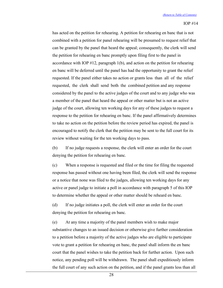has acted on the petition for rehearing. A petition for rehearing en banc that is not combined with a petition for panel rehearing will be presumed to request relief that can be granted by the panel that heard the appeal; consequently, the clerk will send the petition for rehearing en banc promptly upon filing first to the panel in accordance with IOP #12, paragraph 1(b), and action on the petition for rehearing en banc will be deferred until the panel has had the opportunity to grant the relief requested. If the panel either takes no action or grants less than all of the relief requested, the clerk shall send both the combined petition and any response considered by the panel to the active judges of the court and to any judge who was a member of the panel that heard the appeal or other matter but is not an active judge of the court, allowing ten working days for any of these judges to request a response to the petition for rehearing en banc. If the panel affirmatively determines to take no action on the petition before the review period has expired, the panel is encouraged to notify the clerk that the petition may be sent to the full court for its review without waiting for the ten working days to pass.

(b) If no judge requests a response, the clerk will enter an order for the court denying the petition for rehearing en banc.

(c) When a response is requested and filed or the time for filing the requested response has passed without one having been filed, the clerk will send the response or a notice that none was filed to the judges, allowing ten working days for any active or panel judge to initiate a poll in accordance with paragraph 5 of this IOP to determine whether the appeal or other matter should be reheard en banc.

(d) If no judge initiates a poll, the clerk will enter an order for the court denying the petition for rehearing en banc.

(e) At any time a majority of the panel members wish to make major substantive changes to an issued decision or otherwise give further consideration to a petition before a majority of the active judges who are eligible to participate vote to grant a petition for rehearing en banc, the panel shall inform the en banc court that the panel wishes to take the petition back for further action. Upon such notice, any pending poll will be withdrawn. The panel shall expeditiously inform the full court of any such action on the petition, and if the panel grants less than all

28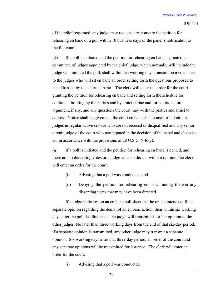of the relief requested, any judge may request a response to the petition for rehearing en banc or a poll within 10 business days of the panel's notification to the full court.

(f) If a poll is initiated and the petition for rehearing en banc is granted, a committee of judges appointed by the chief judge, which normally will include the judge who initiated the poll, shall within ten working days transmit on a vote sheet to the judges who will sit en banc an order setting forth the questions proposed to be addressed by the court en banc. The clerk will enter the order for the court granting the petition for rehearing en banc and setting forth the schedule for additional briefing by the parties and by amici curiae and for additional oral argument, if any, and any questions the court may wish the parties and amici to address. Notice shall be given that the court en banc shall consist of all circuit judges in regular active service who are not recused or disqualified and any senior circuit judge of the court who participated in the decision of the panel and elects to sit, in accordance with the provisions of 28 U.S.C. § 46(c).

(g) If a poll is initiated and the petition for rehearing en banc is denied, and there are no dissenting votes or a judge votes to dissent without opinion, the clerk will enter an order for the court:

- (i) Advising that a poll was conducted, and
- (ii) Denying the petition for rehearing en banc, noting thereon any dissenting votes that may have been directed.

If a judge indicates on an en banc poll sheet that he or she intends to file a separate opinion regarding the denial of an en banc action, then within six working days after the poll deadline ends, the judge will transmit his or her opinion to the other judges. No later than three working days from the end of that six-day period, if a separate opinion is transmitted, any other judge may transmit a separate opinion. Six working days after that three-day period, an order of the court and any separate opinions will be transmitted for issuance. The clerk will enter an order for the court:

(i) Advising that a poll was conducted,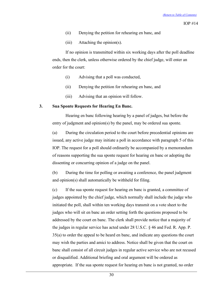- (ii) Denying the petition for rehearing en banc, and
- (iii) Attaching the opinion(s).

If no opinion is transmitted within six working days after the poll deadline ends, then the clerk, unless otherwise ordered by the chief judge, will enter an order for the court:

- (i) Advising that a poll was conducted,
- (ii) Denying the petition for rehearing en banc, and
- (iii) Advising that an opinion will follow.

#### **3. Sua Sponte Requests for Hearing En Banc.**

Hearing en banc following hearing by a panel of judges, but before the entry of judgment and opinion(s) by the panel, may be ordered sua sponte.

(a) During the circulation period to the court before precedential opinions are issued, any active judge may initiate a poll in accordance with paragraph 5 of this IOP. The request for a poll should ordinarily be accompanied by a memorandum of reasons supporting the sua sponte request for hearing en banc or adopting the dissenting or concurring opinion of a judge on the panel.

(b) During the time for polling or awaiting a conference, the panel judgment and opinion(s) shall automatically be withheld for filing.

(c) If the sua sponte request for hearing en banc is granted, a committee of judges appointed by the chief judge, which normally shall include the judge who initiated the poll, shall within ten working days transmit on a vote sheet to the judges who will sit en banc an order setting forth the questions proposed to be addressed by the court en banc. The clerk shall provide notice that a majority of the judges in regular service has acted under 28 U.S.C. § 46 and Fed. R. App. P. 35(a) to order the appeal to be heard en banc, and indicate any questions the court may wish the parties and amici to address. Notice shall be given that the court en banc shall consist of all circuit judges in regular active service who are not recused or disqualified. Additional briefing and oral argument will be ordered as appropriate. If the sua sponte request for hearing en banc is not granted, no order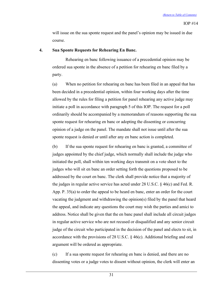will issue on the sua sponte request and the panel's opinion may be issued in due course.

### **4. Sua Sponte Requests for Rehearing En Banc.**

Rehearing en banc following issuance of a precedential opinion may be ordered sua sponte in the absence of a petition for rehearing en banc filed by a party.

(a) When no petition for rehearing en banc has been filed in an appeal that has been decided in a precedential opinion, within four working days after the time allowed by the rules for filing a petition for panel rehearing any active judge may initiate a poll in accordance with paragraph 5 of this IOP. The request for a poll ordinarily should be accompanied by a memorandum of reasons supporting the sua sponte request for rehearing en banc or adopting the dissenting or concurring opinion of a judge on the panel. The mandate shall not issue until after the sua sponte request is denied or until after any en banc action is completed.

(b) If the sua sponte request for rehearing en banc is granted, a committee of judges appointed by the chief judge, which normally shall include the judge who initiated the poll, shall within ten working days transmit on a vote sheet to the judges who will sit en banc an order setting forth the questions proposed to be addressed by the court en banc. The clerk shall provide notice that a majority of the judges in regular active service has acted under 28 U.S.C.  $\S$  46(c) and Fed. R. App. P. 35(a) to order the appeal to be heard en banc, enter an order for the court vacating the judgment and withdrawing the opinion(s) filed by the panel that heard the appeal, and indicate any questions the court may wish the parties and amici to address. Notice shall be given that the en banc panel shall include all circuit judges in regular active service who are not recused or disqualified and any senior circuit judge of the circuit who participated in the decision of the panel and elects to sit, in accordance with the provisions of 28 U.S.C. § 46(c). Additional briefing and oral argument will be ordered as appropriate.

(c) If a sua sponte request for rehearing en banc is denied, and there are no dissenting votes or a judge votes to dissent without opinion, the clerk will enter an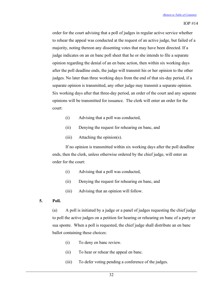order for the court advising that a poll of judges in regular active service whether to rehear the appeal was conducted at the request of an active judge, but failed of a majority, noting thereon any dissenting votes that may have been directed. If a judge indicates on an en banc poll sheet that he or she intends to file a separate opinion regarding the denial of an en banc action, then within six working days after the poll deadline ends, the judge will transmit his or her opinion to the other judges. No later than three working days from the end of that six-day period, if a separate opinion is transmitted, any other judge may transmit a separate opinion. Six working days after that three-day period, an order of the court and any separate opinions will be transmitted for issuance. The clerk will enter an order for the court:

- (i) Advising that a poll was conducted,
- (ii) Denying the request for rehearing en banc, and
- (iii) Attaching the opinion(s).

If no opinion is transmitted within six working days after the poll deadline ends, then the clerk, unless otherwise ordered by the chief judge, will enter an order for the court:

- (i) Advising that a poll was conducted,
- (ii) Denying the request for rehearing en banc, and
- (iii) Advising that an opinion will follow.
- **5. Poll.**

(a) A poll is initiated by a judge or a panel of judges requesting the chief judge to poll the active judges on a petition for hearing or rehearing en banc of a party or sua sponte. When a poll is requested, the chief judge shall distribute an en banc ballot containing these choices:

- (i) To deny en banc review.
- (ii) To hear or rehear the appeal en banc.
- (iii) To defer voting pending a conference of the judges.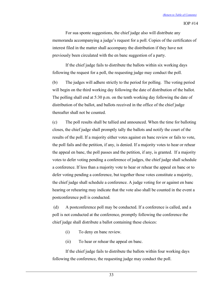For sua sponte suggestions, the chief judge also will distribute any memoranda accompanying a judge's request for a poll. Copies of the certificates of interest filed in the matter shall accompany the distribution if they have not previously been circulated with the en banc suggestion of a party.

If the chief judge fails to distribute the ballots within six working days following the request for a poll, the requesting judge may conduct the poll.

(b) The judges will adhere strictly to the period for polling. The voting period will begin on the third working day following the date of distribution of the ballot. The polling shall end at 5:30 p.m. on the tenth working day following the date of distribution of the ballot, and ballots received in the office of the chief judge thereafter shall not be counted.

(c) The poll results shall be tallied and announced. When the time for balloting closes, the chief judge shall promptly tally the ballots and notify the court of the results of the poll. If a majority either votes against en banc review or fails to vote, the poll fails and the petition, if any, is denied. If a majority votes to hear or rehear the appeal en banc, the poll passes and the petition, if any, is granted. If a majority votes to defer voting pending a conference of judges, the chief judge shall schedule a conference. If less than a majority vote to hear or rehear the appeal en banc or to defer voting pending a conference, but together those votes constitute a majority, the chief judge shall schedule a conference. A judge voting for or against en banc hearing or rehearing may indicate that the vote also shall be counted in the event a postconference poll is conducted.

(d) A postconference poll may be conducted. If a conference is called, and a poll is not conducted at the conference, promptly following the conference the chief judge shall distribute a ballot containing these choices:

- (i) To deny en banc review.
- (ii) To hear or rehear the appeal en banc.

If the chief judge fails to distribute the ballots within four working days following the conference, the requesting judge may conduct the poll.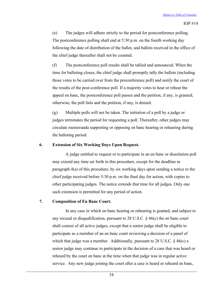(e) The judges will adhere strictly to the period for postconference polling. The postconference polling shall end at 5:30 p.m. on the fourth working day following the date of distribution of the ballot, and ballots received in the office of the chief judge thereafter shall not be counted.

(f) The postconference poll results shall be tallied and announced. When the time for balloting closes, the chief judge shall promptly tally the ballots (including those votes to be carried over from the preconference poll) and notify the court of the results of the post-conference poll. If a majority votes to hear or rehear the appeal en banc, the postconference poll passes and the petition, if any, is granted; otherwise, the poll fails and the petition, if any, is denied.

(g) Multiple polls will not be taken. The initiation of a poll by a judge or judges terminates the period for requesting a poll. Thereafter, other judges may circulate memoranda supporting or opposing en banc hearing or rehearing during the balloting period.

## **6. Extension of Six Working Days Upon Request.**

A judge entitled to request or to participate in an en banc or dissolution poll may extend any time set forth in this procedure, except for the deadline in paragraph 4(a) of this procedure, by six working days upon sending a notice to the chief judge received before 5:30 p.m. on the final day for action, with copies to other participating judges. The notice extends that time for all judges. Only one such extension is permitted for any period of action.

#### **7. Composition of En Banc Court.**

In any case in which en banc hearing or rehearing is granted, and subject to any recusal or disqualification, pursuant to 28 U.S.C. § 46(c) the en banc court shall consist of all active judges, except that a senior judge shall be eligible to participate as a member of an en banc court reviewing a decision of a panel of which that judge was a member. Additionally, pursuant to 28 U.S.C.  $\S$  46(c) a senior judge may continue to participate in the decision of a case that was heard or reheard by the court en banc at the time when that judge was in regular active service. Any new judge joining the court after a case is heard or reheard en banc,

34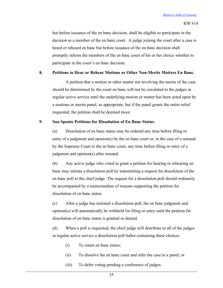but before issuance of the en banc decision, shall be eligible to participate in the decision as a member of the en banc court. A judge joining the court after a case is heard or reheard en banc but before issuance of the en banc decision shall promptly inform the members of the en banc court of his or her choice whether to participate in the court's en banc decision.

### **8. Petitions to Hear or Rehear Motions or Other Non-Merits Matters En Banc.**

A petition that a motion or other matter not involving the merits of the case should be determined by the court en banc will not be circulated to the judges in regular active service until the underlying motion or matter has been acted upon by a motions or merits panel, as appropriate, but if the panel grants the entire relief requested, the petition shall be deemed moot.

### **9. Sua Sponte Petitions for Dissolution of En Banc Status.**

(a) Dissolution of en banc status may be ordered any time before filing or entry of a judgment and opinion(s) by the en banc court or, in the case of a remand by the Supreme Court to the en banc court, any time before filing or entry of a judgment and opinion(s) after remand.

(b) Any active judge who voted to grant a petition for hearing or rehearing en banc may initiate a dissolution poll by transmitting a request for dissolution of the en banc poll to the chief judge. The request for a dissolution poll should ordinarily be accompanied by a memorandum of reasons supporting the petition for dissolution of en banc status.

(c) After a judge has initiated a dissolution poll, the en banc judgment and opinion(s) will automatically be withheld for filing or entry until the petition for dissolution of en banc status is granted or denied.

(d) When a poll is requested, the chief judge will distribute to all of the judges in regular active service a dissolution poll ballot containing these choices:

- (i) To retain en banc status;
- (ii) To dissolve the en banc court and refer the case to a panel; or
- (iii) To defer voting pending a conference of judges.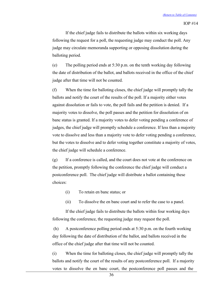If the chief judge fails to distribute the ballots within six working days following the request for a poll, the requesting judge may conduct the poll. Any judge may circulate memoranda supporting or opposing dissolution during the balloting period.

(e) The polling period ends at 5:30 p.m. on the tenth working day following the date of distribution of the ballot, and ballots received in the office of the chief judge after that time will not be counted.

(f) When the time for balloting closes, the chief judge will promptly tally the ballots and notify the court of the results of the poll. If a majority either votes against dissolution or fails to vote, the poll fails and the petition is denied. If a majority votes to dissolve, the poll passes and the petition for dissolution of en banc status is granted. If a majority votes to defer voting pending a conference of judges, the chief judge will promptly schedule a conference. If less than a majority vote to dissolve and less than a majority vote to defer voting pending a conference, but the votes to dissolve and to defer voting together constitute a majority of votes, the chief judge will schedule a conference.

(g) If a conference is called, and the court does not vote at the conference on the petition, promptly following the conference the chief judge will conduct a postconference poll. The chief judge will distribute a ballot containing these choices:

- (i) To retain en banc status; or
- (ii) To dissolve the en banc court and to refer the case to a panel.

If the chief judge fails to distribute the ballots within four working days following the conference, the requesting judge may request the poll.

(h) A postconference polling period ends at 5:30 p.m. on the fourth working day following the date of distribution of the ballot, and ballots received in the office of the chief judge after that time will not be counted.

(i) When the time for balloting closes, the chief judge will promptly tally the ballots and notify the court of the results of any postconference poll. If a majority votes to dissolve the en banc court, the postconference poll passes and the

36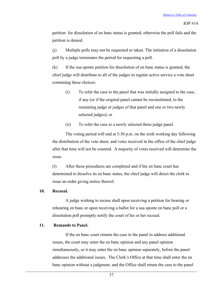petition for dissolution of en banc status is granted; otherwise the poll fails and the petition is denied.

(j) Multiple polls may not be requested or taken. The initiation of a dissolution poll by a judge terminates the period for requesting a poll.

(k) If the sua sponte petition for dissolution of en banc status is granted, the chief judge will distribute to all of the judges in regular active service a vote sheet containing these choices:

- (i) To refer the case to the panel that was initially assigned to the case, if any (or if the original panel cannot be reconstituted, to the remaining judge or judges of that panel and one or two newly selected judges); or
- (ii) To refer the case to a newly selected three-judge panel.

The voting period will end at 5:30 p.m. on the sixth working day following the distribution of the vote sheet, and votes received in the office of the chief judge after that time will not be counted. A majority of votes received will determine the issue.

(l) After these procedures are completed and if the en banc court has determined to dissolve its en banc status, the chief judge will direct the clerk to issue an order giving notice thereof.

#### **10. Recusal.**

A judge wishing to recuse shall upon receiving a petition for hearing or rehearing en banc or upon receiving a ballot for a sua sponte en banc poll or a dissolution poll promptly notify the court of his or her recusal.

#### **11. Remands to Panel.**

If the en banc court returns the case to the panel to address additional issues, the court may enter the en banc opinion and any panel opinion simultaneously, or it may enter the en banc opinion separately, before the panel addresses the additional issues. The Clerk's Office at that time shall enter the en banc opinion without a judgment, and the Office shall return the case to the panel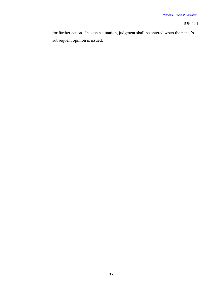for further action. In such a situation, judgment shall be entered when the panel's subsequent opinion is issued.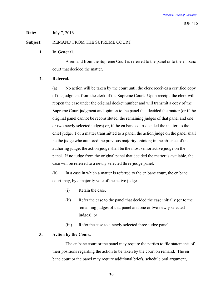**Date:** July 7, 2016

# **Subject:** REMAND FROM THE SUPREME COURT

# <span id="page-41-0"></span>**1. In General.**

A remand from the Supreme Court is referred to the panel or to the en banc court that decided the matter.

# **2. Referral.**

(a) No action will be taken by the court until the clerk receives a certified copy of the judgment from the clerk of the Supreme Court. Upon receipt, the clerk will reopen the case under the original docket number and will transmit a copy of the Supreme Court judgment and opinion to the panel that decided the matter (or if the original panel cannot be reconstituted, the remaining judges of that panel and one or two newly selected judges) or, if the en banc court decided the matter, to the chief judge. For a matter transmitted to a panel, the action judge on the panel shall be the judge who authored the previous majority opinion; in the absence of the authoring judge, the action judge shall be the most senior active judge on the panel. If no judge from the original panel that decided the matter is available, the case will be referred to a newly selected three-judge panel.

(b) In a case in which a matter is referred to the en banc court, the en banc court may, by a majority vote of the active judges:

- (i) Retain the case,
- (ii) Refer the case to the panel that decided the case initially (or to the remaining judges of that panel and one or two newly selected judges), or
- (iii) Refer the case to a newly selected three-judge panel.

# **3. Action by the Court.**

The en banc court or the panel may require the parties to file statements of their positions regarding the action to be taken by the court on remand. The en banc court or the panel may require additional briefs, schedule oral argument,